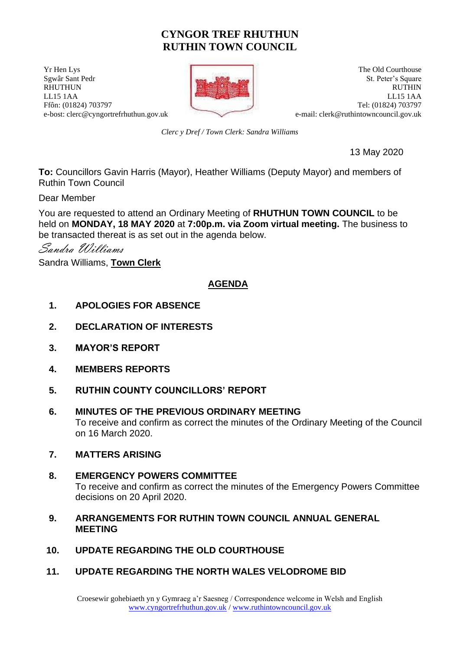# **CYNGOR TREF RHUTHUN RUTHIN TOWN COUNCIL**

**The Old Courthouse** The Old Courthouse **The Old Courthouse** 



Sgwâr Sant Pedr St. Peter's Square RHUTHUN RUTHIN RUTHIN RUTHIN RUTHIN RUTHIN RUTHIN RUTHIN RUTHIN RUTHIN RUTHIN RUTHIN RUTHIN LL15 1AA LL15 1AA Ffôn: (01824) 703797 Tel: (01824) 703797 e-bost: clerc@cyngortrefrhuthun.gov.uk e-mail: [clerk@ruthintowncouncil.gov.uk](mailto:clerk@ruthintowncouncil.gov.uk)

*Clerc y Dref / Town Clerk: Sandra Williams*

13 May 2020

**To:** Councillors Gavin Harris (Mayor), Heather Williams (Deputy Mayor) and members of Ruthin Town Council

Dear Member

You are requested to attend an Ordinary Meeting of **RHUTHUN TOWN COUNCIL** to be held on **MONDAY, 18 MAY 2020** at **7:00p.m. via Zoom virtual meeting.** The business to be transacted thereat is as set out in the agenda below.

Sandra Williams

Sandra Williams, **Town Clerk**

## **AGENDA**

- **1. APOLOGIES FOR ABSENCE**
- **2. DECLARATION OF INTERESTS**
- **3. MAYOR'S REPORT**
- **4. MEMBERS REPORTS**
- **5. RUTHIN COUNTY COUNCILLORS' REPORT**
- **6. MINUTES OF THE PREVIOUS ORDINARY MEETING** To receive and confirm as correct the minutes of the Ordinary Meeting of the Council on 16 March 2020.
- **7. MATTERS ARISING**
- **8. EMERGENCY POWERS COMMITTEE** To receive and confirm as correct the minutes of the Emergency Powers Committee decisions on 20 April 2020.
- **9. ARRANGEMENTS FOR RUTHIN TOWN COUNCIL ANNUAL GENERAL MEETING**
- **10. UPDATE REGARDING THE OLD COURTHOUSE**
- **11. UPDATE REGARDING THE NORTH WALES VELODROME BID**